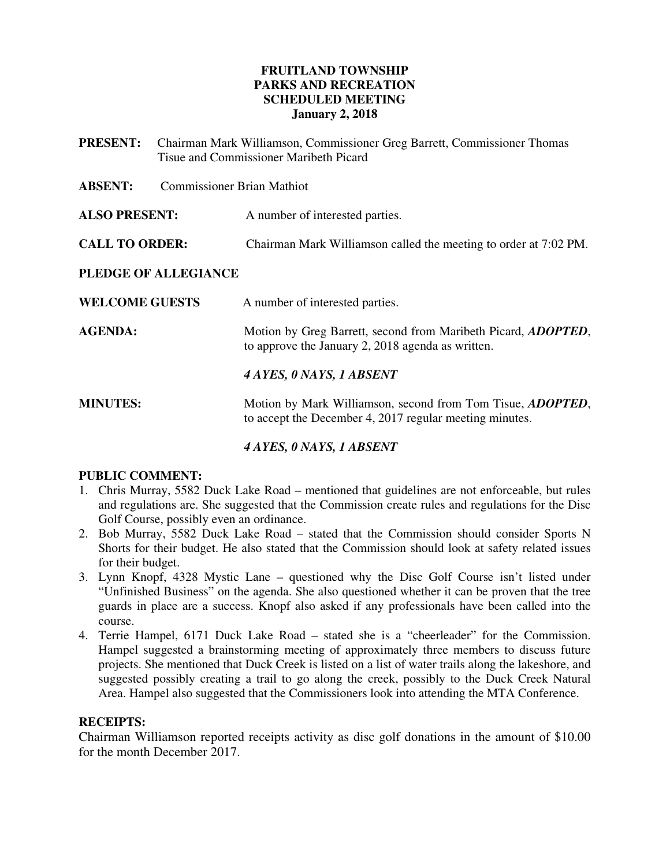## **FRUITLAND TOWNSHIP PARKS AND RECREATION SCHEDULED MEETING January 2, 2018**

- **PRESENT:** Chairman Mark Williamson, Commissioner Greg Barrett, Commissioner Thomas Tisue and Commissioner Maribeth Picard
- **ABSENT:** Commissioner Brian Mathiot
- **ALSO PRESENT:** A number of interested parties.
- **CALL TO ORDER:** Chairman Mark Williamson called the meeting to order at 7:02 PM.

## **PLEDGE OF ALLEGIANCE**

- **WELCOME GUESTS** A number of interested parties.
- **AGENDA:** Motion by Greg Barrett, second from Maribeth Picard, *ADOPTED*, to approve the January 2, 2018 agenda as written.

*4 AYES, 0 NAYS, 1 ABSENT* 

**MINUTES:** Motion by Mark Williamson, second from Tom Tisue, *ADOPTED*, to accept the December 4, 2017 regular meeting minutes.

## *4 AYES, 0 NAYS, 1 ABSENT*

## **PUBLIC COMMENT:**

- 1. Chris Murray, 5582 Duck Lake Road mentioned that guidelines are not enforceable, but rules and regulations are. She suggested that the Commission create rules and regulations for the Disc Golf Course, possibly even an ordinance.
- 2. Bob Murray, 5582 Duck Lake Road stated that the Commission should consider Sports N Shorts for their budget. He also stated that the Commission should look at safety related issues for their budget.
- 3. Lynn Knopf, 4328 Mystic Lane questioned why the Disc Golf Course isn't listed under "Unfinished Business" on the agenda. She also questioned whether it can be proven that the tree guards in place are a success. Knopf also asked if any professionals have been called into the course.
- 4. Terrie Hampel, 6171 Duck Lake Road stated she is a "cheerleader" for the Commission. Hampel suggested a brainstorming meeting of approximately three members to discuss future projects. She mentioned that Duck Creek is listed on a list of water trails along the lakeshore, and suggested possibly creating a trail to go along the creek, possibly to the Duck Creek Natural Area. Hampel also suggested that the Commissioners look into attending the MTA Conference.

## **RECEIPTS:**

Chairman Williamson reported receipts activity as disc golf donations in the amount of \$10.00 for the month December 2017.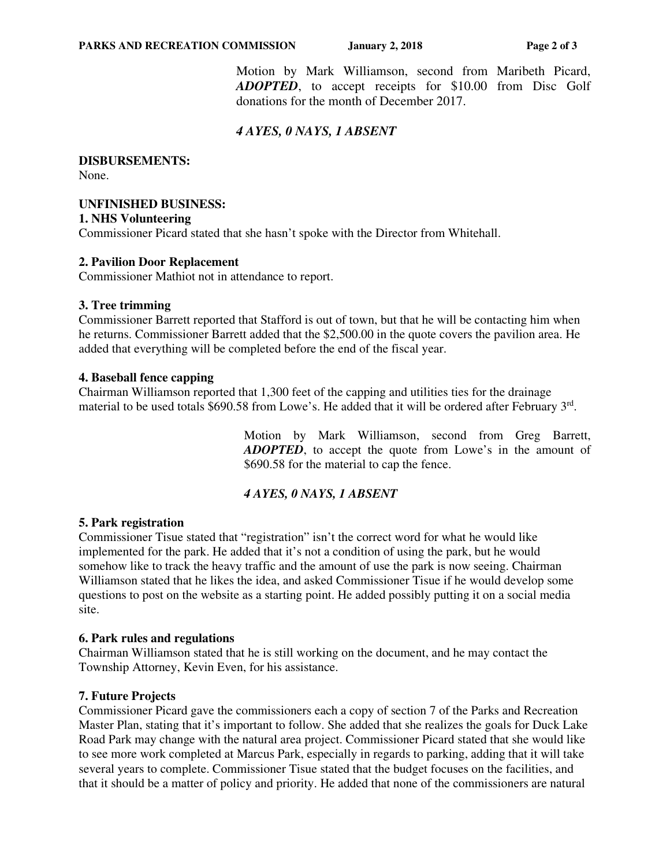Motion by Mark Williamson, second from Maribeth Picard, *ADOPTED*, to accept receipts for \$10.00 from Disc Golf donations for the month of December 2017.

# *4 AYES, 0 NAYS, 1 ABSENT*

**DISBURSEMENTS:** 

None.

# **UNFINISHED BUSINESS:**

**1. NHS Volunteering** 

Commissioner Picard stated that she hasn't spoke with the Director from Whitehall.

## **2. Pavilion Door Replacement**

Commissioner Mathiot not in attendance to report.

## **3. Tree trimming**

Commissioner Barrett reported that Stafford is out of town, but that he will be contacting him when he returns. Commissioner Barrett added that the \$2,500.00 in the quote covers the pavilion area. He added that everything will be completed before the end of the fiscal year.

## **4. Baseball fence capping**

Chairman Williamson reported that 1,300 feet of the capping and utilities ties for the drainage material to be used totals \$690.58 from Lowe's. He added that it will be ordered after February 3<sup>rd</sup>.

> Motion by Mark Williamson, second from Greg Barrett, *ADOPTED*, to accept the quote from Lowe's in the amount of \$690.58 for the material to cap the fence.

## *4 AYES, 0 NAYS, 1 ABSENT*

## **5. Park registration**

Commissioner Tisue stated that "registration" isn't the correct word for what he would like implemented for the park. He added that it's not a condition of using the park, but he would somehow like to track the heavy traffic and the amount of use the park is now seeing. Chairman Williamson stated that he likes the idea, and asked Commissioner Tisue if he would develop some questions to post on the website as a starting point. He added possibly putting it on a social media site.

## **6. Park rules and regulations**

Chairman Williamson stated that he is still working on the document, and he may contact the Township Attorney, Kevin Even, for his assistance.

## **7. Future Projects**

Commissioner Picard gave the commissioners each a copy of section 7 of the Parks and Recreation Master Plan, stating that it's important to follow. She added that she realizes the goals for Duck Lake Road Park may change with the natural area project. Commissioner Picard stated that she would like to see more work completed at Marcus Park, especially in regards to parking, adding that it will take several years to complete. Commissioner Tisue stated that the budget focuses on the facilities, and that it should be a matter of policy and priority. He added that none of the commissioners are natural